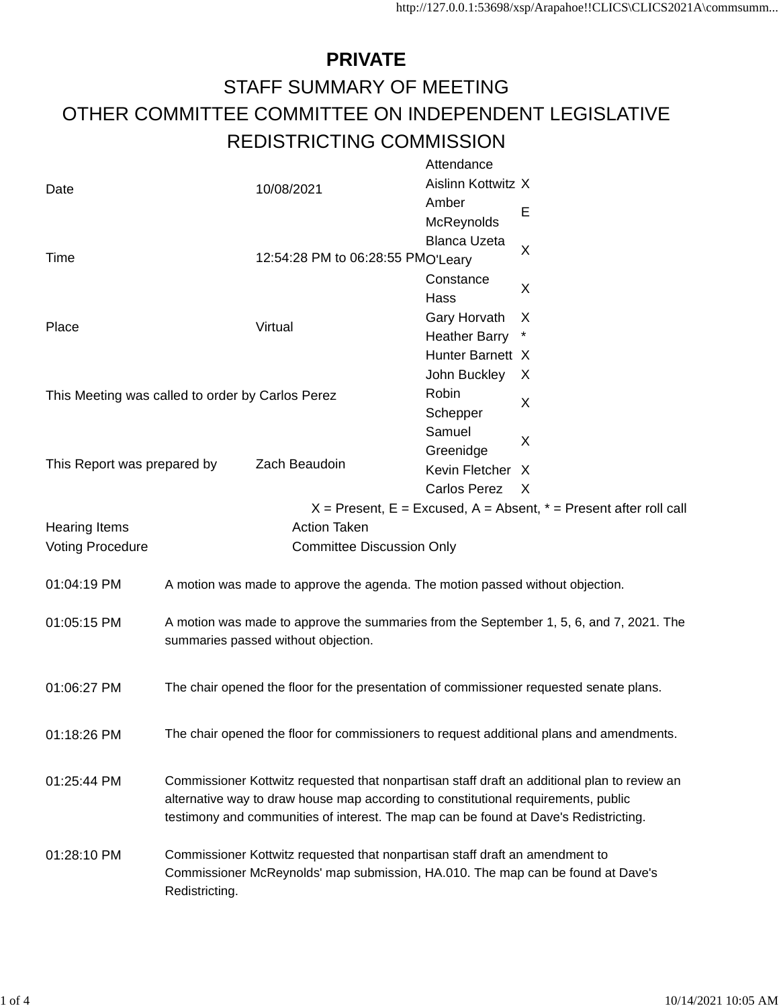## **PRIVATE** STAFF SUMMARY OF MEETING OTHER COMMITTEE COMMITTEE ON INDEPENDENT LEGISLATIVE REDISTRICTING COMMISSION

|                                                  |                                                                                         |                                                                                         | Attendance          |                                                                                              |  |  |  |
|--------------------------------------------------|-----------------------------------------------------------------------------------------|-----------------------------------------------------------------------------------------|---------------------|----------------------------------------------------------------------------------------------|--|--|--|
| Date                                             |                                                                                         | 10/08/2021                                                                              | Aislinn Kottwitz X  |                                                                                              |  |  |  |
|                                                  |                                                                                         |                                                                                         | Amber               |                                                                                              |  |  |  |
|                                                  |                                                                                         |                                                                                         | McReynolds          | Е                                                                                            |  |  |  |
|                                                  |                                                                                         |                                                                                         | <b>Blanca Uzeta</b> |                                                                                              |  |  |  |
| Time                                             |                                                                                         | 12:54:28 PM to 06:28:55 PMO'Leary                                                       |                     | X                                                                                            |  |  |  |
|                                                  |                                                                                         |                                                                                         | Constance           |                                                                                              |  |  |  |
|                                                  |                                                                                         |                                                                                         | Hass                | X                                                                                            |  |  |  |
|                                                  |                                                                                         |                                                                                         |                     | X                                                                                            |  |  |  |
| Place                                            | Virtual                                                                                 |                                                                                         | Gary Horvath        |                                                                                              |  |  |  |
|                                                  |                                                                                         | <b>Heather Barry</b>                                                                    |                     |                                                                                              |  |  |  |
|                                                  |                                                                                         |                                                                                         | Hunter Barnett X    |                                                                                              |  |  |  |
|                                                  |                                                                                         |                                                                                         | John Buckley        | X                                                                                            |  |  |  |
| This Meeting was called to order by Carlos Perez |                                                                                         |                                                                                         | Robin               | X                                                                                            |  |  |  |
|                                                  |                                                                                         |                                                                                         | Schepper            |                                                                                              |  |  |  |
|                                                  |                                                                                         |                                                                                         | Samuel              | X                                                                                            |  |  |  |
|                                                  |                                                                                         | Zach Beaudoin                                                                           | Greenidge           |                                                                                              |  |  |  |
| This Report was prepared by                      |                                                                                         |                                                                                         | Kevin Fletcher      | X                                                                                            |  |  |  |
|                                                  |                                                                                         |                                                                                         | Carlos Perez        | $\mathsf{X}$                                                                                 |  |  |  |
|                                                  |                                                                                         |                                                                                         |                     | $X =$ Present, E = Excused, A = Absent, $* =$ Present after roll call                        |  |  |  |
| <b>Hearing Items</b>                             |                                                                                         | <b>Action Taken</b>                                                                     |                     |                                                                                              |  |  |  |
| <b>Voting Procedure</b>                          |                                                                                         | <b>Committee Discussion Only</b>                                                        |                     |                                                                                              |  |  |  |
|                                                  |                                                                                         |                                                                                         |                     |                                                                                              |  |  |  |
| 01:04:19 PM                                      |                                                                                         | A motion was made to approve the agenda. The motion passed without objection.           |                     |                                                                                              |  |  |  |
|                                                  |                                                                                         |                                                                                         |                     |                                                                                              |  |  |  |
| 01:05:15 PM                                      | A motion was made to approve the summaries from the September 1, 5, 6, and 7, 2021. The |                                                                                         |                     |                                                                                              |  |  |  |
|                                                  |                                                                                         | summaries passed without objection.                                                     |                     |                                                                                              |  |  |  |
|                                                  |                                                                                         |                                                                                         |                     |                                                                                              |  |  |  |
|                                                  |                                                                                         |                                                                                         |                     |                                                                                              |  |  |  |
| 01:06:27 PM                                      |                                                                                         | The chair opened the floor for the presentation of commissioner requested senate plans. |                     |                                                                                              |  |  |  |
|                                                  |                                                                                         |                                                                                         |                     |                                                                                              |  |  |  |
|                                                  |                                                                                         |                                                                                         |                     | The chair opened the floor for commissioners to request additional plans and amendments.     |  |  |  |
| 01:18:26 PM                                      |                                                                                         |                                                                                         |                     |                                                                                              |  |  |  |
|                                                  |                                                                                         |                                                                                         |                     |                                                                                              |  |  |  |
| 01:25:44 PM                                      |                                                                                         |                                                                                         |                     | Commissioner Kottwitz requested that nonpartisan staff draft an additional plan to review an |  |  |  |
|                                                  | alternative way to draw house map according to constitutional requirements, public      |                                                                                         |                     |                                                                                              |  |  |  |
|                                                  |                                                                                         | testimony and communities of interest. The map can be found at Dave's Redistricting.    |                     |                                                                                              |  |  |  |
|                                                  |                                                                                         |                                                                                         |                     |                                                                                              |  |  |  |
| 01:28:10 PM                                      | Commissioner Kottwitz requested that nonpartisan staff draft an amendment to            |                                                                                         |                     |                                                                                              |  |  |  |
|                                                  | Commissioner McReynolds' map submission, HA.010. The map can be found at Dave's         |                                                                                         |                     |                                                                                              |  |  |  |
|                                                  | Redistricting.                                                                          |                                                                                         |                     |                                                                                              |  |  |  |
|                                                  |                                                                                         |                                                                                         |                     |                                                                                              |  |  |  |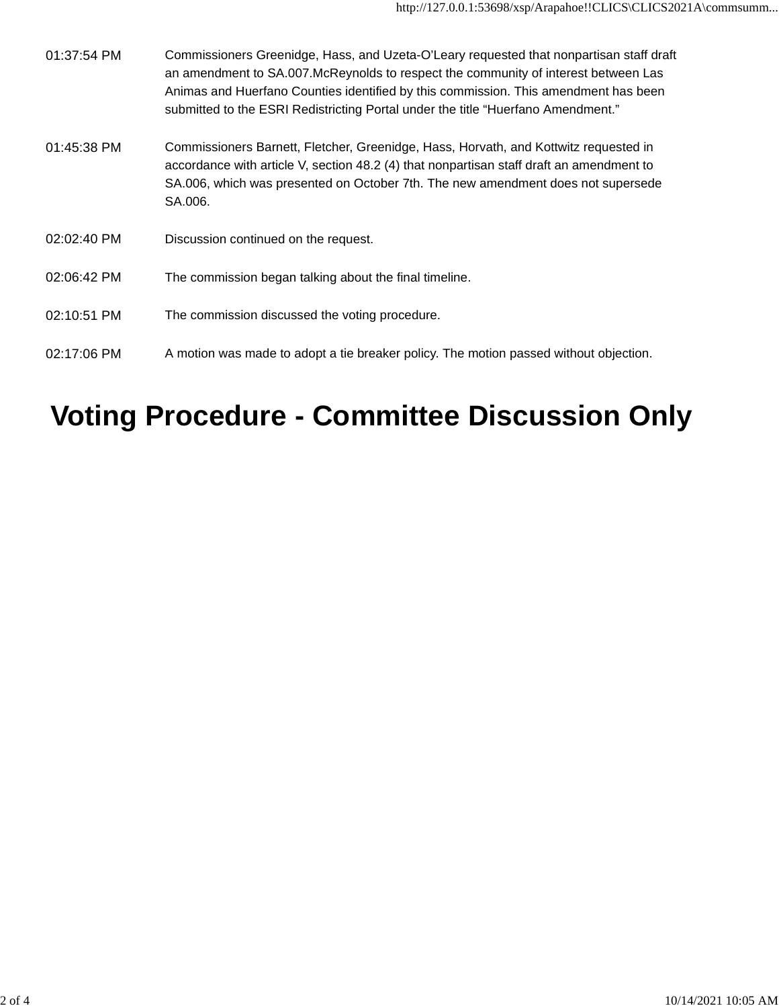| 01:37:54 PM | Commissioners Greenidge, Hass, and Uzeta-O'Leary requested that nonpartisan staff draft<br>an amendment to SA.007.McReynolds to respect the community of interest between Las<br>Animas and Huerfano Counties identified by this commission. This amendment has been<br>submitted to the ESRI Redistricting Portal under the title "Huerfano Amendment." |
|-------------|----------------------------------------------------------------------------------------------------------------------------------------------------------------------------------------------------------------------------------------------------------------------------------------------------------------------------------------------------------|
| 01:45:38 PM | Commissioners Barnett, Fletcher, Greenidge, Hass, Horvath, and Kottwitz requested in<br>accordance with article V, section 48.2 (4) that nonpartisan staff draft an amendment to<br>SA.006, which was presented on October 7th. The new amendment does not supersede<br>SA.006.                                                                          |
| 02:02:40 PM | Discussion continued on the request.                                                                                                                                                                                                                                                                                                                     |
| 02:06:42 PM | The commission began talking about the final timeline.                                                                                                                                                                                                                                                                                                   |
| 02:10:51 PM | The commission discussed the voting procedure.                                                                                                                                                                                                                                                                                                           |
| 02:17:06 PM | A motion was made to adopt a tie breaker policy. The motion passed without objection.                                                                                                                                                                                                                                                                    |

## **Voting Procedure - Committee Discussion Only**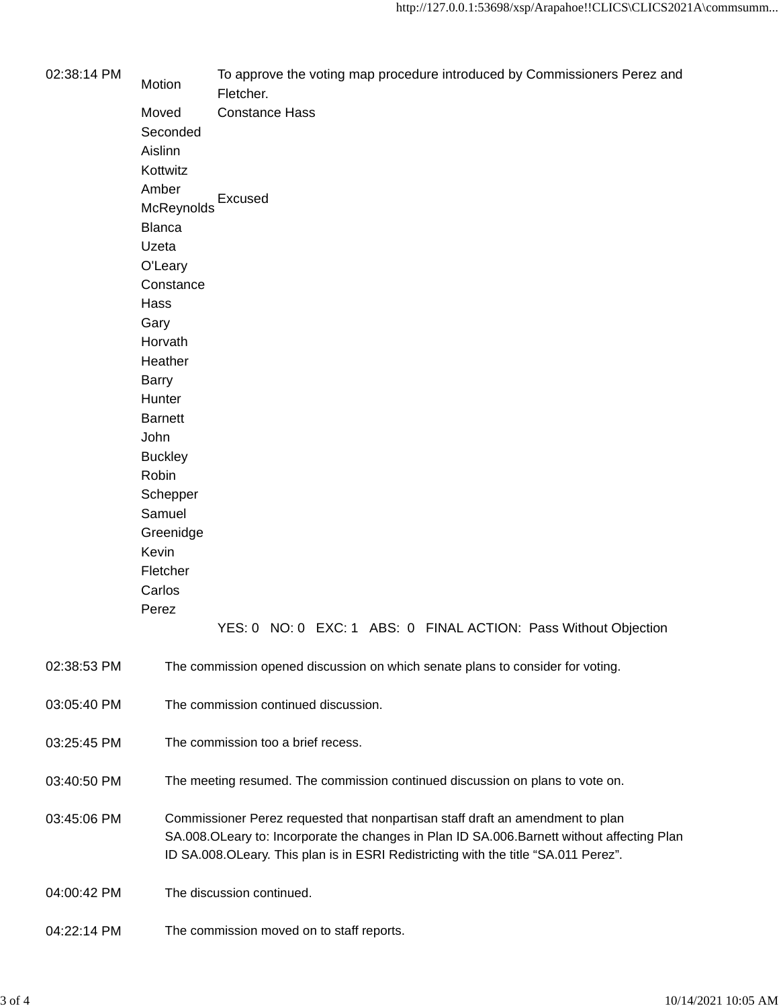| 02:38:14 PM | Motion         | To approve the voting map procedure introduced by Commissioners Perez and<br>Fletcher.                                                                                                                                                                              |
|-------------|----------------|---------------------------------------------------------------------------------------------------------------------------------------------------------------------------------------------------------------------------------------------------------------------|
|             | Moved          | <b>Constance Hass</b>                                                                                                                                                                                                                                               |
|             | Seconded       |                                                                                                                                                                                                                                                                     |
|             | Aislinn        |                                                                                                                                                                                                                                                                     |
|             | Kottwitz       |                                                                                                                                                                                                                                                                     |
|             | Amber          |                                                                                                                                                                                                                                                                     |
|             | McReynolds     | Excused                                                                                                                                                                                                                                                             |
|             | <b>Blanca</b>  |                                                                                                                                                                                                                                                                     |
|             | Uzeta          |                                                                                                                                                                                                                                                                     |
|             |                |                                                                                                                                                                                                                                                                     |
|             | O'Leary        |                                                                                                                                                                                                                                                                     |
|             | Constance      |                                                                                                                                                                                                                                                                     |
|             | Hass           |                                                                                                                                                                                                                                                                     |
|             | Gary           |                                                                                                                                                                                                                                                                     |
|             | Horvath        |                                                                                                                                                                                                                                                                     |
|             | Heather        |                                                                                                                                                                                                                                                                     |
|             | <b>Barry</b>   |                                                                                                                                                                                                                                                                     |
|             | Hunter         |                                                                                                                                                                                                                                                                     |
|             | <b>Barnett</b> |                                                                                                                                                                                                                                                                     |
|             | John           |                                                                                                                                                                                                                                                                     |
|             | <b>Buckley</b> |                                                                                                                                                                                                                                                                     |
|             | Robin          |                                                                                                                                                                                                                                                                     |
|             | Schepper       |                                                                                                                                                                                                                                                                     |
|             | Samuel         |                                                                                                                                                                                                                                                                     |
|             | Greenidge      |                                                                                                                                                                                                                                                                     |
|             | Kevin          |                                                                                                                                                                                                                                                                     |
|             | Fletcher       |                                                                                                                                                                                                                                                                     |
|             | Carlos         |                                                                                                                                                                                                                                                                     |
|             | Perez          |                                                                                                                                                                                                                                                                     |
|             |                | YES: 0 NO: 0 EXC: 1 ABS: 0 FINAL ACTION: Pass Without Objection                                                                                                                                                                                                     |
| 02:38:53 PM |                | The commission opened discussion on which senate plans to consider for voting.                                                                                                                                                                                      |
| 03:05:40 PM |                | The commission continued discussion.                                                                                                                                                                                                                                |
| 03:25:45 PM |                | The commission too a brief recess.                                                                                                                                                                                                                                  |
| 03:40:50 PM |                | The meeting resumed. The commission continued discussion on plans to vote on.                                                                                                                                                                                       |
| 03:45:06 PM |                | Commissioner Perez requested that nonpartisan staff draft an amendment to plan<br>SA.008.OLeary to: Incorporate the changes in Plan ID SA.006.Barnett without affecting Plan<br>ID SA.008.OLeary. This plan is in ESRI Redistricting with the title "SA.011 Perez". |
| 04:00:42 PM |                | The discussion continued.                                                                                                                                                                                                                                           |
| 04:22:14 PM |                | The commission moved on to staff reports.                                                                                                                                                                                                                           |